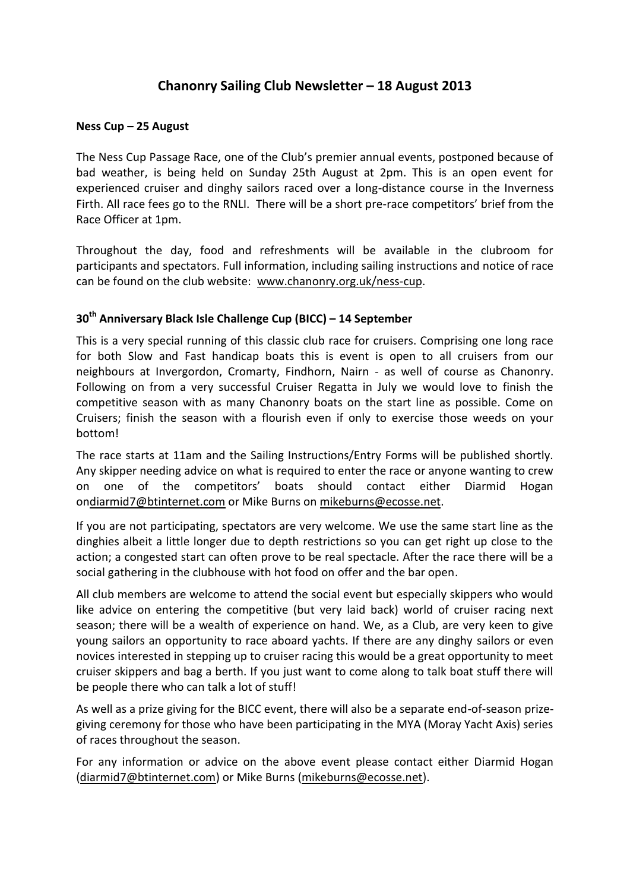# **Chanonry Sailing Club Newsletter – 18 August 2013**

#### **Ness Cup – 25 August**

The Ness Cup Passage Race, one of the Club's premier annual events, postponed because of bad weather, is being held on Sunday 25th August at 2pm. This is an open event for experienced cruiser and dinghy sailors raced over a long-distance course in the Inverness Firth. All race fees go to the RNLI. There will be a short pre-race competitors' brief from the Race Officer at 1pm.

Throughout the day, food and refreshments will be available in the clubroom for participants and spectators. Full information, including sailing instructions and notice of race can be found on the club website: [www.chanonry.org.uk/ness-cup.](https://d.docs.live.net/98680f6065a275fd/Documents/www.chanonry.org.uk/ness-cup)

## **30th Anniversary Black Isle Challenge Cup (BICC) – 14 September**

This is a very special running of this classic club race for cruisers. Comprising one long race for both Slow and Fast handicap boats this is event is open to all cruisers from our neighbours at Invergordon, Cromarty, Findhorn, Nairn - as well of course as Chanonry. Following on from a very successful Cruiser Regatta in July we would love to finish the competitive season with as many Chanonry boats on the start line as possible. Come on Cruisers; finish the season with a flourish even if only to exercise those weeds on your bottom!

The race starts at 11am and the Sailing Instructions/Entry Forms will be published shortly. Any skipper needing advice on what is required to enter the race or anyone wanting to crew on one of the competitors' boats should contact either Diarmid Hogan o[ndiarmid7@btinternet.com](https://d.docs.live.net/98680f6065a275fd/Documents/diarmid7@btinternet.com) or Mike Burns on [mikeburns@ecosse.net.](https://d.docs.live.net/98680f6065a275fd/Documents/mikeburns@ecosse.net)

If you are not participating, spectators are very welcome. We use the same start line as the dinghies albeit a little longer due to depth restrictions so you can get right up close to the action; a congested start can often prove to be real spectacle. After the race there will be a social gathering in the clubhouse with hot food on offer and the bar open.

All club members are welcome to attend the social event but especially skippers who would like advice on entering the competitive (but very laid back) world of cruiser racing next season; there will be a wealth of experience on hand. We, as a Club, are very keen to give young sailors an opportunity to race aboard yachts. If there are any dinghy sailors or even novices interested in stepping up to cruiser racing this would be a great opportunity to meet cruiser skippers and bag a berth. If you just want to come along to talk boat stuff there will be people there who can talk a lot of stuff!

As well as a prize giving for the BICC event, there will also be a separate end-of-season prizegiving ceremony for those who have been participating in the MYA (Moray Yacht Axis) series of races throughout the season.

For any information or advice on the above event please contact either Diarmid Hogan [\(diarmid7@btinternet.com\)](https://d.docs.live.net/98680f6065a275fd/Documents/diarmid7@btinternet.com) or Mike Burns [\(mikeburns@ecosse.net\)](https://d.docs.live.net/98680f6065a275fd/Documents/mikeburns@ecosse.net).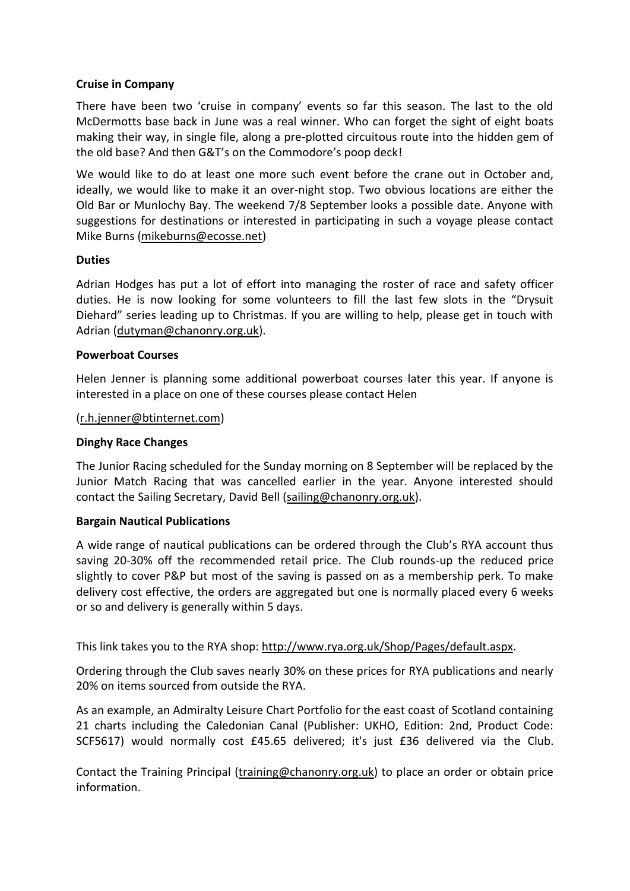#### **Cruise in Company**

There have been two 'cruise in company' events so far this season. The last to the old McDermotts base back in June was a real winner. Who can forget the sight of eight boats making their way, in single file, along a pre-plotted circuitous route into the hidden gem of the old base? And then G&T's on the Commodore's poop deck!

We would like to do at least one more such event before the crane out in October and, ideally, we would like to make it an over-night stop. Two obvious locations are either the Old Bar or Munlochy Bay. The weekend 7/8 September looks a possible date. Anyone with suggestions for destinations or interested in participating in such a voyage please contact Mike Burns [\(mikeburns@ecosse.net\)](https://d.docs.live.net/98680f6065a275fd/Documents/mikeburns@ecosse.net)

## **Duties**

Adrian Hodges has put a lot of effort into managing the roster of race and safety officer duties. He is now looking for some volunteers to fill the last few slots in the "Drysuit Diehard" series leading up to Christmas. If you are willing to help, please get in touch with Adrian [\(dutyman@chanonry.org.uk\)](mailto:dutyman@chanonry.org.uk).

#### **Powerboat Courses**

Helen Jenner is planning some additional powerboat courses later this year. If anyone is interested in a place on one of these courses please contact Helen

#### [\(r.h.jenner@btinternet.com\)](mailto:r.h.jenner@btinternet.com)

## **Dinghy Race Changes**

The Junior Racing scheduled for the Sunday morning on 8 September will be replaced by the Junior Match Racing that was cancelled earlier in the year. Anyone interested should contact the Sailing Secretary, David Bell [\(sailing@chanonry.org.uk\)](mailto:sailing@chanonry.org.uk).

#### **Bargain Nautical Publications**

A wide range of nautical publications can be ordered through the Club's RYA account thus saving 20-30% off the recommended retail price. The Club rounds-up the reduced price slightly to cover P&P but most of the saving is passed on as a membership perk. To make delivery cost effective, the orders are aggregated but one is normally placed every 6 weeks or so and delivery is generally within 5 days.

This link takes you to the RYA shop: [http://www.rya.org.uk/Shop/Pages/default.aspx.](http://www.rya.org.uk/Shop/Pages/default.aspx)

Ordering through the Club saves nearly 30% on these prices for RYA publications and nearly 20% on items sourced from outside the RYA.

As an example, an Admiralty Leisure Chart Portfolio for the east coast of Scotland containing 21 charts including the Caledonian Canal (Publisher: UKHO, Edition: 2nd, Product Code: SCF5617) would normally cost £45.65 delivered; it's just £36 delivered via the Club.

Contact the Training Principal [\(training@chanonry.org.uk\)](mailto:training@chanonry.org.uk) to place an order or obtain price information.